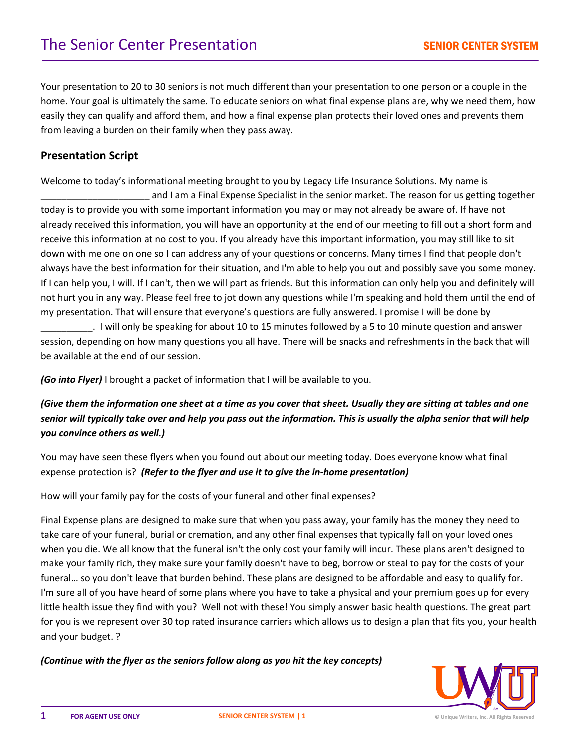Your presentation to 20 to 30 seniors is not much different than your presentation to one person or a couple in the home. Your goal is ultimately the same. To educate seniors on what final expense plans are, why we need them, how easily they can qualify and afford them, and how a final expense plan protects their loved ones and prevents them from leaving a burden on their family when they pass away.

## **Presentation Script**

Welcome to today's informational meeting brought to you by Legacy Life Insurance Solutions. My name is

\_\_\_\_\_\_\_\_\_\_\_\_\_\_\_\_\_\_\_\_\_ and I am a Final Expense Specialist in the senior market. The reason for us getting together today is to provide you with some important information you may or may not already be aware of. If have not already received this information, you will have an opportunity at the end of our meeting to fill out a short form and receive this information at no cost to you. If you already have this important information, you may still like to sit down with me one on one so I can address any of your questions or concerns. Many times I find that people don't always have the best information for their situation, and I'm able to help you out and possibly save you some money. If I can help you, I will. If I can't, then we will part as friends. But this information can only help you and definitely will not hurt you in any way. Please feel free to jot down any questions while I'm speaking and hold them until the end of my presentation. That will ensure that everyone's questions are fully answered. I promise I will be done by

\_\_\_\_\_\_\_\_\_\_. I will only be speaking for about 10 to 15 minutes followed by a 5 to 10 minute question and answer session, depending on how many questions you all have. There will be snacks and refreshments in the back that will be available at the end of our session.

*(Go into Flyer)* I brought a packet of information that I will be available to you.

*(Give them the information one sheet at a time as you cover that sheet. Usually they are sitting at tables and one senior will typically take over and help you pass out the information. This is usually the alpha senior that will help you convince others as well.)*

You may have seen these flyers when you found out about our meeting today. Does everyone know what final expense protection is? *(Refer to the flyer and use it to give the in-home presentation)*

How will your family pay for the costs of your funeral and other final expenses?

Final Expense plans are designed to make sure that when you pass away, your family has the money they need to take care of your funeral, burial or cremation, and any other final expenses that typically fall on your loved ones when you die. We all know that the funeral isn't the only cost your family will incur. These plans aren't designed to make your family rich, they make sure your family doesn't have to beg, borrow or steal to pay for the costs of your funeral… so you don't leave that burden behind. These plans are designed to be affordable and easy to qualify for. I'm sure all of you have heard of some plans where you have to take a physical and your premium goes up for every little health issue they find with you? Well not with these! You simply answer basic health questions. The great part for you is we represent over 30 top rated insurance carriers which allows us to design a plan that fits you, your health and your budget. ?

*(Continue with the flyer as the seniors follow along as you hit the key concepts)*

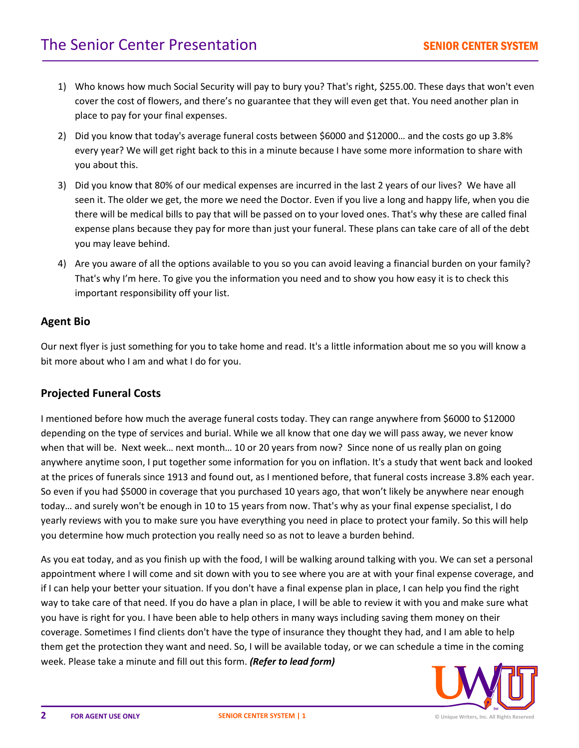- 1) Who knows how much Social Security will pay to bury you? That's right, \$255.00. These days that won't even cover the cost of flowers, and there's no guarantee that they will even get that. You need another plan in place to pay for your final expenses.
- 2) Did you know that today's average funeral costs between \$6000 and \$12000… and the costs go up 3.8% every year? We will get right back to this in a minute because I have some more information to share with you about this.
- 3) Did you know that 80% of our medical expenses are incurred in the last 2 years of our lives? We have all seen it. The older we get, the more we need the Doctor. Even if you live a long and happy life, when you die there will be medical bills to pay that will be passed on to your loved ones. That's why these are called final expense plans because they pay for more than just your funeral. These plans can take care of all of the debt you may leave behind.
- 4) Are you aware of all the options available to you so you can avoid leaving a financial burden on your family? That's why I'm here. To give you the information you need and to show you how easy it is to check this important responsibility off your list.

## **Agent Bio**

Our next flyer is just something for you to take home and read. It's a little information about me so you will know a bit more about who I am and what I do for you.

## **Projected Funeral Costs**

I mentioned before how much the average funeral costs today. They can range anywhere from \$6000 to \$12000 depending on the type of services and burial. While we all know that one day we will pass away, we never know when that will be. Next week… next month… 10 or 20 years from now? Since none of us really plan on going anywhere anytime soon, I put together some information for you on inflation. It's a study that went back and looked at the prices of funerals since 1913 and found out, as I mentioned before, that funeral costs increase 3.8% each year. So even if you had \$5000 in coverage that you purchased 10 years ago, that won't likely be anywhere near enough today… and surely won't be enough in 10 to 15 years from now. That's why as your final expense specialist, I do yearly reviews with you to make sure you have everything you need in place to protect your family. So this will help you determine how much protection you really need so as not to leave a burden behind.

As you eat today, and as you finish up with the food, I will be walking around talking with you. We can set a personal appointment where I will come and sit down with you to see where you are at with your final expense coverage, and if I can help your better your situation. If you don't have a final expense plan in place, I can help you find the right way to take care of that need. If you do have a plan in place, I will be able to review it with you and make sure what you have is right for you. I have been able to help others in many ways including saving them money on their coverage. Sometimes I find clients don't have the type of insurance they thought they had, and I am able to help them get the protection they want and need. So, I will be available today, or we can schedule a time in the coming week. Please take a minute and fill out this form. *(Refer to lead form)*

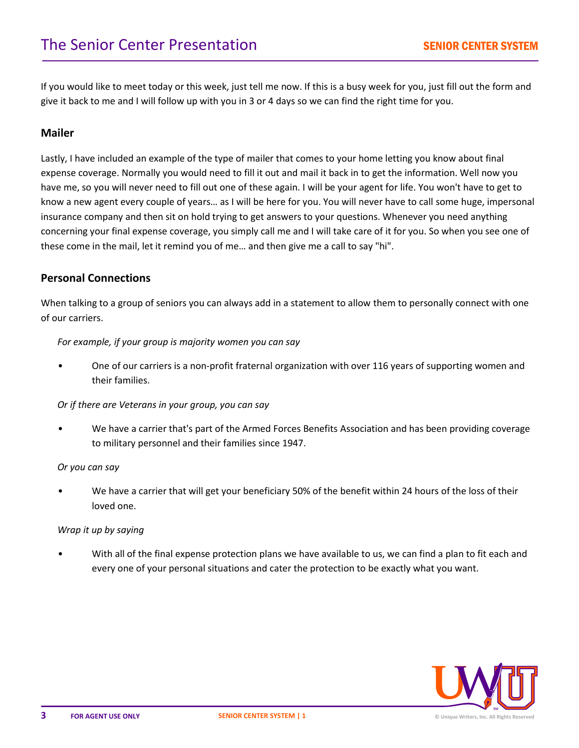If you would like to meet today or this week, just tell me now. If this is a busy week for you, just fill out the form and give it back to me and I will follow up with you in 3 or 4 days so we can find the right time for you.

# **Mailer**

Lastly, I have included an example of the type of mailer that comes to your home letting you know about final expense coverage. Normally you would need to fill it out and mail it back in to get the information. Well now you have me, so you will never need to fill out one of these again. I will be your agent for life. You won't have to get to know a new agent every couple of years… as I will be here for you. You will never have to call some huge, impersonal insurance company and then sit on hold trying to get answers to your questions. Whenever you need anything concerning your final expense coverage, you simply call me and I will take care of it for you. So when you see one of these come in the mail, let it remind you of me… and then give me a call to say "hi".

## **Personal Connections**

When talking to a group of seniors you can always add in a statement to allow them to personally connect with one of our carriers.

#### *For example, if your group is majority women you can say*

• One of our carriers is a non-profit fraternal organization with over 116 years of supporting women and their families.

#### *Or if there are Veterans in your group, you can say*

• We have a carrier that's part of the Armed Forces Benefits Association and has been providing coverage to military personnel and their families since 1947.

#### *Or you can say*

• We have a carrier that will get your beneficiary 50% of the benefit within 24 hours of the loss of their loved one.

#### *Wrap it up by saying*

• With all of the final expense protection plans we have available to us, we can find a plan to fit each and every one of your personal situations and cater the protection to be exactly what you want.

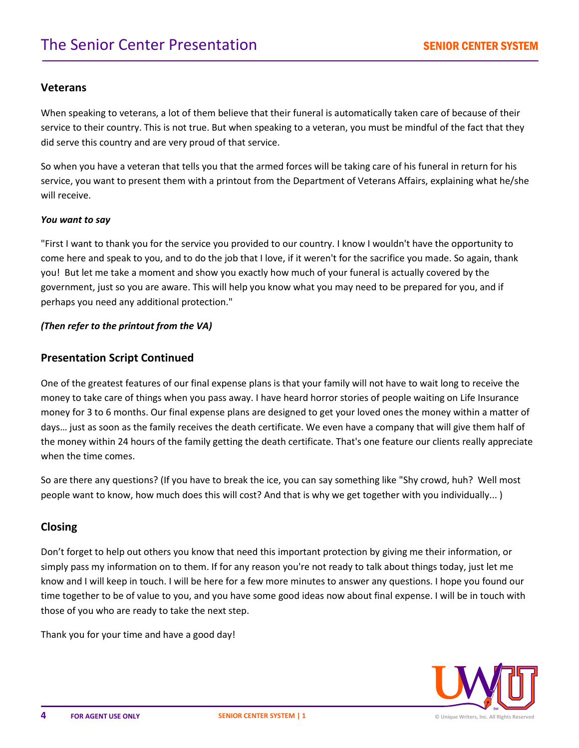### **Veterans**

When speaking to veterans, a lot of them believe that their funeral is automatically taken care of because of their service to their country. This is not true. But when speaking to a veteran, you must be mindful of the fact that they did serve this country and are very proud of that service.

So when you have a veteran that tells you that the armed forces will be taking care of his funeral in return for his service, you want to present them with a printout from the Department of Veterans Affairs, explaining what he/she will receive.

#### *You want to say*

"First I want to thank you for the service you provided to our country. I know I wouldn't have the opportunity to come here and speak to you, and to do the job that I love, if it weren't for the sacrifice you made. So again, thank you! But let me take a moment and show you exactly how much of your funeral is actually covered by the government, just so you are aware. This will help you know what you may need to be prepared for you, and if perhaps you need any additional protection."

#### *(Then refer to the printout from the VA)*

### **Presentation Script Continued**

One of the greatest features of our final expense plans is that your family will not have to wait long to receive the money to take care of things when you pass away. I have heard horror stories of people waiting on Life Insurance money for 3 to 6 months. Our final expense plans are designed to get your loved ones the money within a matter of days… just as soon as the family receives the death certificate. We even have a company that will give them half of the money within 24 hours of the family getting the death certificate. That's one feature our clients really appreciate when the time comes.

So are there any questions? (If you have to break the ice, you can say something like "Shy crowd, huh? Well most people want to know, how much does this will cost? And that is why we get together with you individually... )

### **Closing**

Don't forget to help out others you know that need this important protection by giving me their information, or simply pass my information on to them. If for any reason you're not ready to talk about things today, just let me know and I will keep in touch. I will be here for a few more minutes to answer any questions. I hope you found our time together to be of value to you, and you have some good ideas now about final expense. I will be in touch with those of you who are ready to take the next step.

Thank you for your time and have a good day!